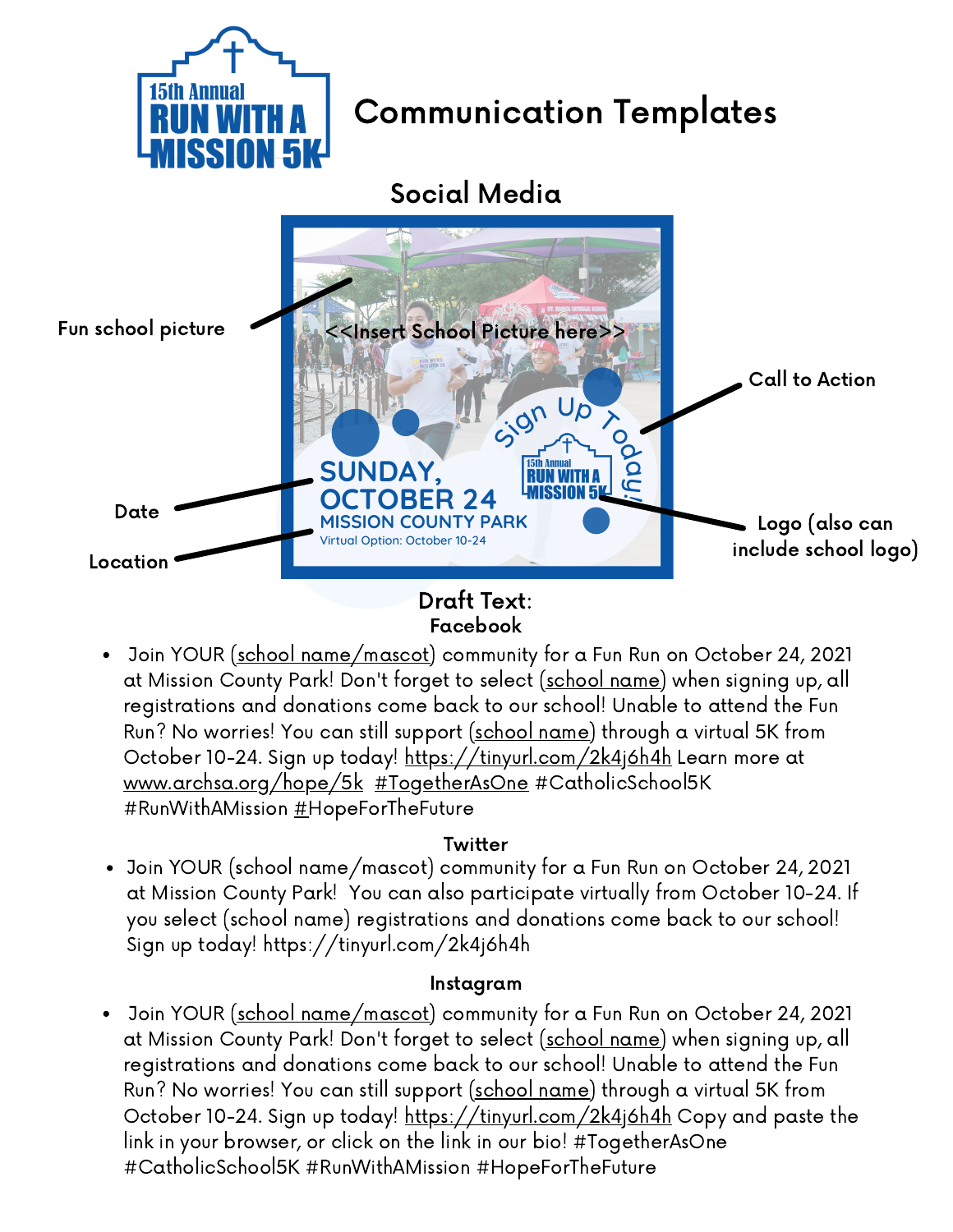

### Draft Text: Facebook

Join YOUR (school name/mascot) community for a Fun Run on October 24, 2021 at Mission County Park! Don't forget to select (school name) when signing up, all registrations and donations come back to our school! Unable to attend the Fun Run? No worries! You can still support (school name) through a virtual 5K from October 10-24. Sign up today! [https://tinyurl.com/2k4j6h4h](https://tinyurl.com/2k4j6h4h?fbclid=IwAR1fUNdQgj-94rF5KI5zwxId3PDYm4S26TgYQIcVdk4lSBnqCiTSIwJ8lXQ) Learn more at [www.archsa.org/hope/5k](http://www.archsa.org/hope/5k?fbclid=IwAR2ROCE6M746b56HB2gJTP5vWis8-uAH8GDP9T_HeDmZ0ov7zi8go5ehOkE) [#TogetherAsOne](https://www.facebook.com/hashtag/togetherasone?__eep__=6&__cft__[0]=AZX7NNxpGizg_QqFE9P8fAumj6eIagc4-bukcs8VExHnir277EwYH95HmnWPDdjJRinwwmIzx_YhEsaNvjE8PLzAts9ESkG7PL3cz_V9aNs_P-Ogk8W4VtKFGN2WNqyiXQeRHRlScfVpmPDpPT5hL7szaEZmya7ZWY8lzT7-Gg_00Yu115qzWK0EaVjvKFO60JU&__tn__=*NK-R) [#CatholicSchool5K](https://www.facebook.com/hashtag/catholicschool5k?__eep__=6&__cft__[0]=AZX7NNxpGizg_QqFE9P8fAumj6eIagc4-bukcs8VExHnir277EwYH95HmnWPDdjJRinwwmIzx_YhEsaNvjE8PLzAts9ESkG7PL3cz_V9aNs_P-Ogk8W4VtKFGN2WNqyiXQeRHRlScfVpmPDpPT5hL7szaEZmya7ZWY8lzT7-Gg_00Yu115qzWK0EaVjvKFO60JU&__tn__=*NK-R) [#](https://www.facebook.com/hashtag/hopeforthefuture?__eep__=6&__cft__[0]=AZX7NNxpGizg_QqFE9P8fAumj6eIagc4-bukcs8VExHnir277EwYH95HmnWPDdjJRinwwmIzx_YhEsaNvjE8PLzAts9ESkG7PL3cz_V9aNs_P-Ogk8W4VtKFGN2WNqyiXQeRHRlScfVpmPDpPT5hL7szaEZmya7ZWY8lzT7-Gg_00Yu115qzWK0EaVjvKFO60JU&__tn__=*NK-R)RunWithAMission #HopeForTheFuture

### **Twitter**

Join YOUR (school name/mascot) community for a Fun Run on October 24, 2021 at Mission County Park! You can also participate virtually from October 10-24. If you select (school name) registrations and donations come back to our school! Sign up today! [https://tinyurl.com/2k4j6h4h](https://t.co/4pMaY0yOXq?amp=1)

### Instagram

Join YOUR (school name/mascot) community for a Fun Run on October 24, 2021 at Mission County Park! Don't forget to select (school name) when signing up, all registrations and donations come back to our school! Unable to attend the Fun Run? No worries! You can still support (school name) through a virtual 5K from October 10-24. Sign up today! [https://tinyurl.com/2k4j6h4h](https://tinyurl.com/2k4j6h4h?fbclid=IwAR1fUNdQgj-94rF5KI5zwxId3PDYm4S26TgYQIcVdk4lSBnqCiTSIwJ8lXQ) Copy and paste the link in your browser, or click on the link in our bio! [#TogetherAsOne](https://www.facebook.com/hashtag/togetherasone?__eep__=6&__cft__[0]=AZX7NNxpGizg_QqFE9P8fAumj6eIagc4-bukcs8VExHnir277EwYH95HmnWPDdjJRinwwmIzx_YhEsaNvjE8PLzAts9ESkG7PL3cz_V9aNs_P-Ogk8W4VtKFGN2WNqyiXQeRHRlScfVpmPDpPT5hL7szaEZmya7ZWY8lzT7-Gg_00Yu115qzWK0EaVjvKFO60JU&__tn__=*NK-R) [#CatholicSchool5K](https://www.facebook.com/hashtag/catholicschool5k?__eep__=6&__cft__[0]=AZX7NNxpGizg_QqFE9P8fAumj6eIagc4-bukcs8VExHnir277EwYH95HmnWPDdjJRinwwmIzx_YhEsaNvjE8PLzAts9ESkG7PL3cz_V9aNs_P-Ogk8W4VtKFGN2WNqyiXQeRHRlScfVpmPDpPT5hL7szaEZmya7ZWY8lzT7-Gg_00Yu115qzWK0EaVjvKFO60JU&__tn__=*NK-R) #RunWithAMission [#](https://www.facebook.com/hashtag/hopeforthefuture?__eep__=6&__cft__[0]=AZX7NNxpGizg_QqFE9P8fAumj6eIagc4-bukcs8VExHnir277EwYH95HmnWPDdjJRinwwmIzx_YhEsaNvjE8PLzAts9ESkG7PL3cz_V9aNs_P-Ogk8W4VtKFGN2WNqyiXQeRHRlScfVpmPDpPT5hL7szaEZmya7ZWY8lzT7-Gg_00Yu115qzWK0EaVjvKFO60JU&__tn__=*NK-R)HopeForTheFuture